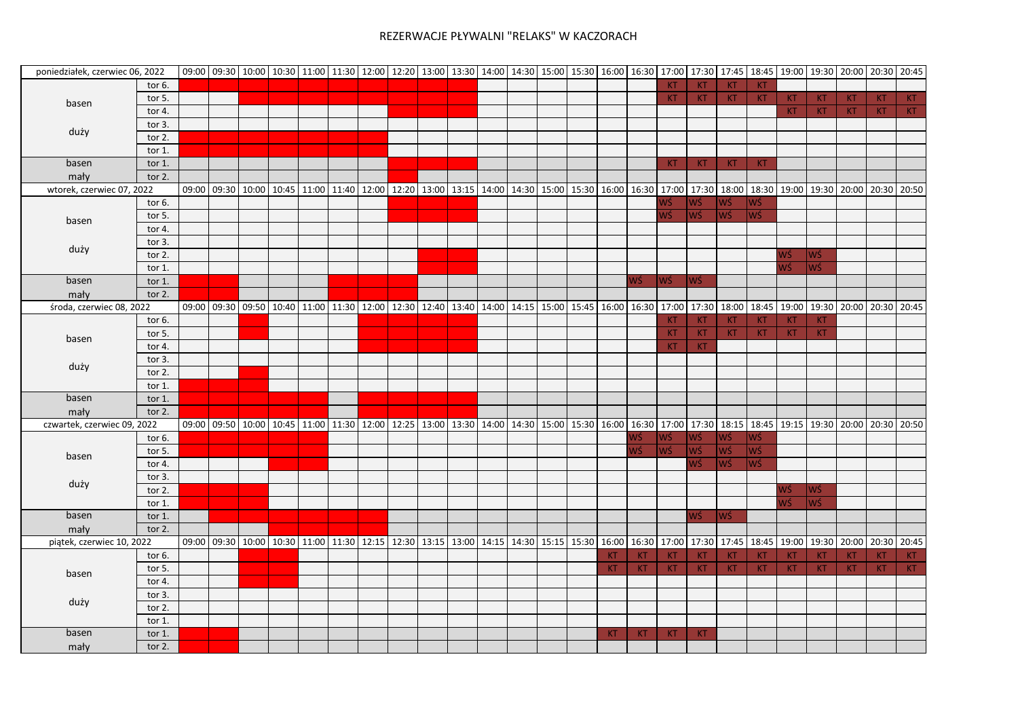| poniedziałek, czerwiec 06, 2022                                                                                                      |           |       |             |                         |       |       |             |             |                                                                         |             |             |             |             |           |           |             |           |                   |             |           | 09:00 09:30 10:00 10:30 11:00 11:30 12:00 12:00 13:30 13:00 14:00 14:30 15:00 15:30 16:00 16:30 17:00 17:30 17:30 17:45 18:45 19:00 19:30 20:00 20:30 20:00 20:45 |       |
|--------------------------------------------------------------------------------------------------------------------------------------|-----------|-------|-------------|-------------------------|-------|-------|-------------|-------------|-------------------------------------------------------------------------|-------------|-------------|-------------|-------------|-----------|-----------|-------------|-----------|-------------------|-------------|-----------|-------------------------------------------------------------------------------------------------------------------------------------------------------------------|-------|
|                                                                                                                                      | tor $6.$  |       |             |                         |       |       |             |             |                                                                         |             |             |             |             | KT        | KT.       | KT          | <b>KT</b> |                   |             |           |                                                                                                                                                                   |       |
| basen<br>duży<br>basen<br>mały<br>basen<br>duży<br>basen<br>mały<br>basen<br>duży<br>basen<br>mały<br>basen<br>duży<br>basen<br>mały | tor 5.    |       |             |                         |       |       |             |             |                                                                         |             |             |             |             | KT.       | <b>KT</b> | <b>KT</b>   | <b>KT</b> | <b>KT</b>         | KT.         | <b>KT</b> | KT                                                                                                                                                                | KT.   |
|                                                                                                                                      | tor 4.    |       |             |                         |       |       |             |             |                                                                         |             |             |             |             |           |           |             |           | <b>KT</b>         | KT.         | <b>KT</b> | KT.                                                                                                                                                               | KT    |
| wtorek, czerwiec 07, 2022<br>środa, czerwiec 08, 2022<br>piątek, czerwiec 10, 2022<br>basen<br>duży<br>basen                         | tor 3.    |       |             |                         |       |       |             |             |                                                                         |             |             |             |             |           |           |             |           |                   |             |           |                                                                                                                                                                   |       |
|                                                                                                                                      | tor 2.    |       |             |                         |       |       |             |             |                                                                         |             |             |             |             |           |           |             |           |                   |             |           |                                                                                                                                                                   |       |
|                                                                                                                                      | tor 1.    |       |             |                         |       |       |             |             |                                                                         |             |             |             |             |           |           |             |           |                   |             |           |                                                                                                                                                                   |       |
|                                                                                                                                      | tor 1.    |       |             |                         |       |       |             |             |                                                                         |             |             |             |             | KT        | <b>KT</b> | KT          | <b>KT</b> |                   |             |           |                                                                                                                                                                   |       |
|                                                                                                                                      | tor 2.    |       |             |                         |       |       |             |             |                                                                         |             |             |             |             |           |           |             |           |                   |             |           |                                                                                                                                                                   |       |
|                                                                                                                                      |           | 09:00 | 09:30 10:00 | 10:45                   | 11:00 | 11:40 |             |             | 12:00   12:20   13:00   13:15   14:00   14:30   15:00                   |             | 15:30 16:00 |             | 16:30 17:00 |           | 17:30     | 18:00       | 18:30     |                   | 19:00 19:30 |           | 20:00 20:30                                                                                                                                                       | 20:50 |
|                                                                                                                                      | tor 6.    |       |             |                         |       |       |             |             |                                                                         |             |             |             |             | NŚ        | WŚ        | WŚ          | WŚ        |                   |             |           |                                                                                                                                                                   |       |
|                                                                                                                                      | tor 5.    |       |             |                         |       |       |             |             |                                                                         |             |             |             |             | WŚ        | WŚ        | WŚ          | <b>WŚ</b> |                   |             |           |                                                                                                                                                                   |       |
|                                                                                                                                      | tor 4.    |       |             |                         |       |       |             |             |                                                                         |             |             |             |             |           |           |             |           |                   |             |           |                                                                                                                                                                   |       |
|                                                                                                                                      | tor 3.    |       |             |                         |       |       |             |             |                                                                         |             |             |             |             |           |           |             |           |                   |             |           |                                                                                                                                                                   |       |
|                                                                                                                                      | tor 2.    |       |             |                         |       |       |             |             |                                                                         |             |             |             |             |           |           |             |           | WŚ                | WŚ          |           |                                                                                                                                                                   |       |
|                                                                                                                                      | tor 1.    |       |             |                         |       |       |             |             |                                                                         |             |             |             |             |           |           |             |           | WŚ                | <b>WŚ</b>   |           |                                                                                                                                                                   |       |
|                                                                                                                                      | tor 1.    |       |             |                         |       |       |             |             |                                                                         |             |             |             | WŚ          | WŚ        | WŚ        |             |           |                   |             |           |                                                                                                                                                                   |       |
|                                                                                                                                      | tor $2$ . |       |             |                         |       |       |             |             |                                                                         |             |             |             |             |           |           |             |           |                   |             |           |                                                                                                                                                                   |       |
|                                                                                                                                      |           | 09:00 |             |                         |       |       |             |             | 09:30 09:50 10:40 11:00 11:30 12:00 12:30 12:40 13:40 14:00 14:15 15:00 |             |             | 15:45 16:00 | 16:30       | 17:00     | 17:30     | 18:00       | 18:45     | 19:00             | 19:30       | 20:00     | 20:30                                                                                                                                                             | 20:45 |
|                                                                                                                                      | tor 6.    |       |             |                         |       |       |             |             |                                                                         |             |             |             |             | <b>KT</b> | <b>KT</b> | <b>KT</b>   | <b>KT</b> | KT                | <b>KT</b>   |           |                                                                                                                                                                   |       |
|                                                                                                                                      | tor 5.    |       |             |                         |       |       |             |             |                                                                         |             |             |             |             | <b>KT</b> | <b>KT</b> | KT          | KT.       | KT                | KT.         |           |                                                                                                                                                                   |       |
|                                                                                                                                      | tor 4.    |       |             |                         |       |       |             |             |                                                                         |             |             |             |             | KT        | <b>KT</b> |             |           |                   |             |           |                                                                                                                                                                   |       |
|                                                                                                                                      | tor $3$ . |       |             |                         |       |       |             |             |                                                                         |             |             |             |             |           |           |             |           |                   |             |           |                                                                                                                                                                   |       |
|                                                                                                                                      | tor 2.    |       |             |                         |       |       |             |             |                                                                         |             |             |             |             |           |           |             |           |                   |             |           |                                                                                                                                                                   |       |
| czwartek, czerwiec 09, 2022                                                                                                          | tor 1.    |       |             |                         |       |       |             |             |                                                                         |             |             |             |             |           |           |             |           |                   |             |           |                                                                                                                                                                   |       |
|                                                                                                                                      | tor $1$ . |       |             |                         |       |       |             |             |                                                                         |             |             |             |             |           |           |             |           |                   |             |           |                                                                                                                                                                   |       |
|                                                                                                                                      | tor 2.    |       |             |                         |       |       |             |             |                                                                         |             |             |             |             |           |           |             |           |                   |             |           |                                                                                                                                                                   |       |
|                                                                                                                                      |           | 09:00 |             | 09:50 10:00 10:45 11:00 |       |       |             |             | 11:30 12:00 12:25 13:00 13:30 14:00 14:30 15:00 15:30 16:00             |             |             |             | 16:30 17:00 |           |           | 17:30 18:15 |           | 18:45 19:15 19:30 |             |           | 20:00 20:30                                                                                                                                                       | 20:50 |
|                                                                                                                                      | tor 6.    |       |             |                         |       |       |             |             |                                                                         |             |             |             | WŚ          | WŚ        | WŚ.       | WŚ          | WŚ        |                   |             |           |                                                                                                                                                                   |       |
|                                                                                                                                      | tor 5.    |       |             |                         |       |       |             |             |                                                                         |             |             |             | WŚ          | WŚ        | WŚ        | WŚ          | WŚ        |                   |             |           |                                                                                                                                                                   |       |
|                                                                                                                                      | tor 4.    |       |             |                         |       |       |             |             |                                                                         |             |             |             |             |           | WŚ        | WŚ          | <b>WŚ</b> |                   |             |           |                                                                                                                                                                   |       |
|                                                                                                                                      | tor 3.    |       |             |                         |       |       |             |             |                                                                         |             |             |             |             |           |           |             |           |                   |             |           |                                                                                                                                                                   |       |
|                                                                                                                                      | tor 2.    |       |             |                         |       |       |             |             |                                                                         |             |             |             |             |           |           |             |           | WŚ                | WŚ          |           |                                                                                                                                                                   |       |
|                                                                                                                                      | tor $1$ . |       |             |                         |       |       |             |             |                                                                         |             |             |             |             |           |           |             |           | WŚ                | <b>WŚ</b>   |           |                                                                                                                                                                   |       |
|                                                                                                                                      | tor 1.    |       |             |                         |       |       |             |             |                                                                         |             |             |             |             |           | NŚ        | <b>WŚ</b>   |           |                   |             |           |                                                                                                                                                                   |       |
|                                                                                                                                      | tor 2.    |       |             |                         |       |       |             |             |                                                                         |             |             |             |             |           |           |             |           |                   |             |           |                                                                                                                                                                   |       |
|                                                                                                                                      |           | 09:00 |             | 09:30 10:00 10:30 11:00 |       | 11:30 | 12:15 12:30 | 13:15 13:00 | 14:15                                                                   | 14:30 15:15 | 15:30       | 16:00       | 16:30 17:00 |           |           | 17:30 17:45 | 18:45     | 19:00             | 19:30       |           | 20:00 20:30                                                                                                                                                       | 20:45 |
|                                                                                                                                      | tor 6.    |       |             |                         |       |       |             |             |                                                                         |             |             | KT          | <b>KT</b>   | <b>KT</b> | KT.       | <b>KT</b>   | <b>KT</b> | KT                | <b>KT</b>   | <b>KT</b> | KT                                                                                                                                                                | KT    |
|                                                                                                                                      | tor 5.    |       |             |                         |       |       |             |             |                                                                         |             |             | KT.         | KT          | KT        | <b>KT</b> | <b>KT</b>   | <b>KT</b> | <b>KT</b>         | KT.         | <b>KT</b> | KT.                                                                                                                                                               | KT    |
|                                                                                                                                      | tor 4.    |       |             |                         |       |       |             |             |                                                                         |             |             |             |             |           |           |             |           |                   |             |           |                                                                                                                                                                   |       |
|                                                                                                                                      | tor 3.    |       |             |                         |       |       |             |             |                                                                         |             |             |             |             |           |           |             |           |                   |             |           |                                                                                                                                                                   |       |
|                                                                                                                                      | tor 2.    |       |             |                         |       |       |             |             |                                                                         |             |             |             |             |           |           |             |           |                   |             |           |                                                                                                                                                                   |       |
|                                                                                                                                      | tor 1.    |       |             |                         |       |       |             |             |                                                                         |             |             |             |             |           |           |             |           |                   |             |           |                                                                                                                                                                   |       |
|                                                                                                                                      | tor $1$ . |       |             |                         |       |       |             |             |                                                                         |             |             | KT          | KT          | KT        | <b>KT</b> |             |           |                   |             |           |                                                                                                                                                                   |       |
| mały                                                                                                                                 | tor $2.$  |       |             |                         |       |       |             |             |                                                                         |             |             |             |             |           |           |             |           |                   |             |           |                                                                                                                                                                   |       |
|                                                                                                                                      |           |       |             |                         |       |       |             |             |                                                                         |             |             |             |             |           |           |             |           |                   |             |           |                                                                                                                                                                   |       |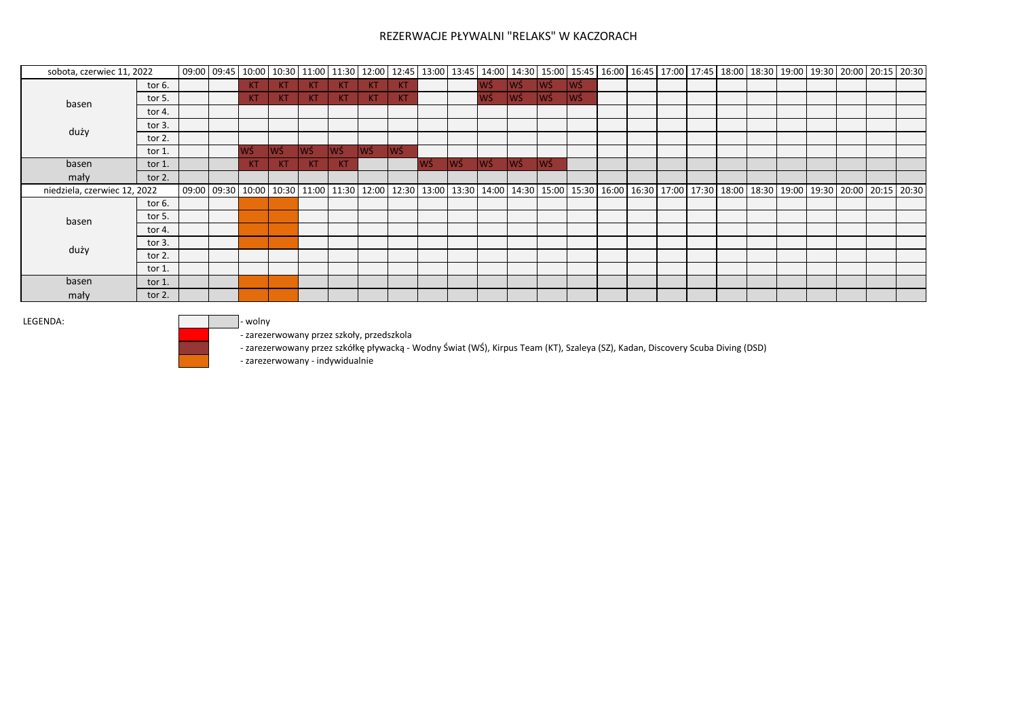| sobota, czerwiec 11, 2022    |           |                                                                                                                                                                               |           |     |    |           |            |     |    |      |      |            |      |      |  |  |  |  |  | 09:00 10:30 10:00 10:30 11:00 11:30 12:00 12:45 13:00 13:45 14:00 14:30 15:00 15:45 16:00 16:45 17:00 17:45 18:00 18:30 19:00 19:30 20:00 20:15 20:30 |
|------------------------------|-----------|-------------------------------------------------------------------------------------------------------------------------------------------------------------------------------|-----------|-----|----|-----------|------------|-----|----|------|------|------------|------|------|--|--|--|--|--|-------------------------------------------------------------------------------------------------------------------------------------------------------|
|                              | tor $6.$  |                                                                                                                                                                               | KT        | KT  | KT | KT        | <b>TKT</b> | KT  |    |      | lwś- | <b>Iwś</b> | lwś. | lwś. |  |  |  |  |  |                                                                                                                                                       |
| basen                        | tor 5.    |                                                                                                                                                                               | KT        | KT  | KT | KT.       | KT.        | KT  |    |      | lwś. | lwś        | lwś  | WŚ   |  |  |  |  |  |                                                                                                                                                       |
|                              | tor 4.    |                                                                                                                                                                               |           |     |    |           |            |     |    |      |      |            |      |      |  |  |  |  |  |                                                                                                                                                       |
|                              | tor $3.$  |                                                                                                                                                                               |           |     |    |           |            |     |    |      |      |            |      |      |  |  |  |  |  |                                                                                                                                                       |
| duży                         | tor $2$ . |                                                                                                                                                                               |           |     |    |           |            |     |    |      |      |            |      |      |  |  |  |  |  |                                                                                                                                                       |
|                              | tor 1.    |                                                                                                                                                                               | lwś.      | lwś | WŚ | WŚ        | lwś.       | lwś |    |      |      |            |      |      |  |  |  |  |  |                                                                                                                                                       |
| basen                        | tor $1$ . |                                                                                                                                                                               | <b>KT</b> | KT. | KT | <b>KT</b> |            |     | WŚ | lwś. | lwś. | lwś        | lwś  |      |  |  |  |  |  |                                                                                                                                                       |
| mały                         | tor $2.$  |                                                                                                                                                                               |           |     |    |           |            |     |    |      |      |            |      |      |  |  |  |  |  |                                                                                                                                                       |
| niedziela, czerwiec 12, 2022 |           | 09:00 10:00 10:00 10:00 10:30 10:00 10:30 11:00 11:30 12:00 12:30 13:00 13:30 14:00 14:30 15:00 15:30 16:00 16:30 16:00 17:30 12:00 18:30 19:00 18:30 19:00 10:30 20:15 20:30 |           |     |    |           |            |     |    |      |      |            |      |      |  |  |  |  |  |                                                                                                                                                       |
|                              | tor $6.$  |                                                                                                                                                                               |           |     |    |           |            |     |    |      |      |            |      |      |  |  |  |  |  |                                                                                                                                                       |
| basen                        | tor $5.$  |                                                                                                                                                                               |           |     |    |           |            |     |    |      |      |            |      |      |  |  |  |  |  |                                                                                                                                                       |
|                              | tor 4.    |                                                                                                                                                                               |           |     |    |           |            |     |    |      |      |            |      |      |  |  |  |  |  |                                                                                                                                                       |
|                              | tor $3.$  |                                                                                                                                                                               |           |     |    |           |            |     |    |      |      |            |      |      |  |  |  |  |  |                                                                                                                                                       |
| duży                         | tor $2$ . |                                                                                                                                                                               |           |     |    |           |            |     |    |      |      |            |      |      |  |  |  |  |  |                                                                                                                                                       |
|                              | tor $1$ . |                                                                                                                                                                               |           |     |    |           |            |     |    |      |      |            |      |      |  |  |  |  |  |                                                                                                                                                       |
| basen                        | tor $1$ . |                                                                                                                                                                               |           |     |    |           |            |     |    |      |      |            |      |      |  |  |  |  |  |                                                                                                                                                       |
| mały                         | tor $2$ . |                                                                                                                                                                               |           |     |    |           |            |     |    |      |      |            |      |      |  |  |  |  |  |                                                                                                                                                       |

LEGENDA: and the state of the state of the state of the state of the state of the state of the state of the state of the state of the state of the state of the state of the state of the state of the state of the state of t

- zarezerwowany przez szkoły, przedszkola

- zarezerwowany przez szkółkę pływacką - Wodny Świat (WŚ), Kirpus Team (KT), Szaleya (SZ), Kadan, Discovery Scuba Diving (DSD)

- zarezerwowany - indywidualnie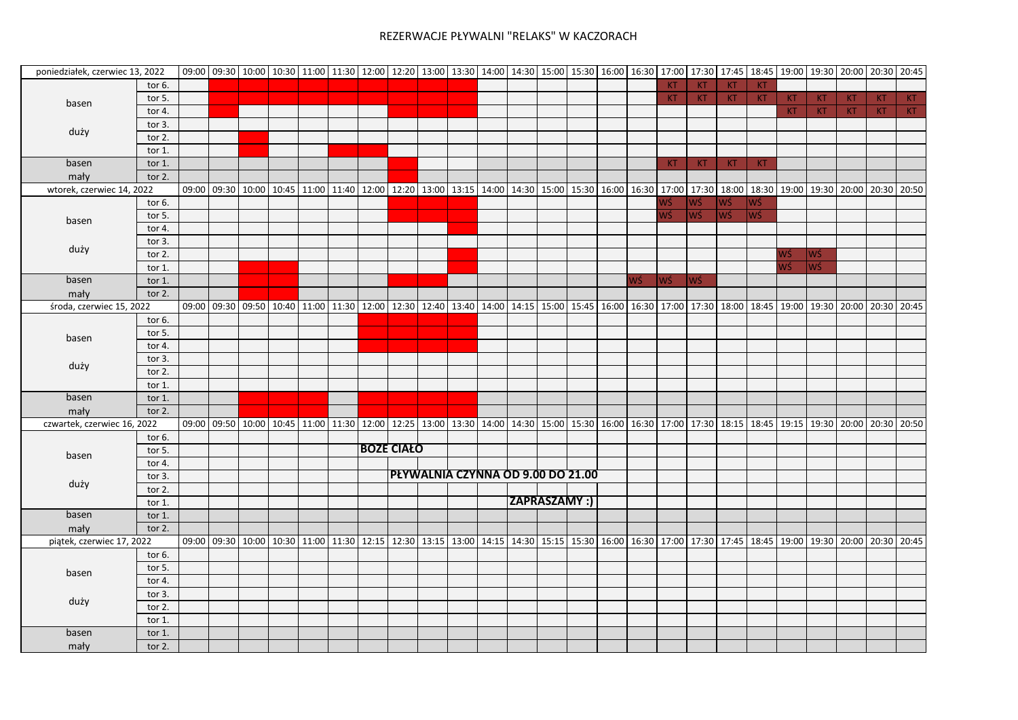|                                                                                                                                                                                |           |       |       |                                                                                                                                                                                                                                                                                                                                                                                                                                                                                                                                                                                                                                                                                                                                                                                       |  | 09:00 09:30 10:00 10:30 11:00 11:30 12:00 12:20 13:00 13:30 14:00 14:30 15:00 15:30 16:00 16:30 17:00 17:30 17:45 18:45 19:00 19:30 20:00 20:30 20:45 |  |  |  |  |    |           |           |           |           |           |           |           |     |    |
|--------------------------------------------------------------------------------------------------------------------------------------------------------------------------------|-----------|-------|-------|---------------------------------------------------------------------------------------------------------------------------------------------------------------------------------------------------------------------------------------------------------------------------------------------------------------------------------------------------------------------------------------------------------------------------------------------------------------------------------------------------------------------------------------------------------------------------------------------------------------------------------------------------------------------------------------------------------------------------------------------------------------------------------------|--|-------------------------------------------------------------------------------------------------------------------------------------------------------|--|--|--|--|----|-----------|-----------|-----------|-----------|-----------|-----------|-----------|-----|----|
|                                                                                                                                                                                | tor 6.    |       |       |                                                                                                                                                                                                                                                                                                                                                                                                                                                                                                                                                                                                                                                                                                                                                                                       |  |                                                                                                                                                       |  |  |  |  |    | <b>KT</b> | KT.       | <b>KT</b> | <b>KT</b> |           |           |           |     |    |
| basen<br>duży<br>basen<br>mały<br>basen<br>duży<br>basen<br>mały<br>basen<br>duży<br>basen<br>mały<br>basen<br>duży                                                            | tor 5.    |       |       |                                                                                                                                                                                                                                                                                                                                                                                                                                                                                                                                                                                                                                                                                                                                                                                       |  |                                                                                                                                                       |  |  |  |  |    | <b>KT</b> | KT        | KT        | KT        | <b>KT</b> | KT.       | <b>KT</b> | KT. | KT |
|                                                                                                                                                                                | tor 4.    |       |       |                                                                                                                                                                                                                                                                                                                                                                                                                                                                                                                                                                                                                                                                                                                                                                                       |  |                                                                                                                                                       |  |  |  |  |    |           |           |           |           | <b>KT</b> | <b>KT</b> | KT        | KT. | KT |
| poniedziałek, czerwiec 13, 2022<br>wtorek, czerwiec 14, 2022<br>środa, czerwiec 15, 2022<br>czwartek, czerwiec 16, 2022<br>basen<br>mały<br>piątek, czerwiec 17, 2022<br>basen | tor $3.$  |       |       |                                                                                                                                                                                                                                                                                                                                                                                                                                                                                                                                                                                                                                                                                                                                                                                       |  |                                                                                                                                                       |  |  |  |  |    |           |           |           |           |           |           |           |     |    |
|                                                                                                                                                                                | tor 2.    |       |       |                                                                                                                                                                                                                                                                                                                                                                                                                                                                                                                                                                                                                                                                                                                                                                                       |  |                                                                                                                                                       |  |  |  |  |    |           |           |           |           |           |           |           |     |    |
|                                                                                                                                                                                | tor 1.    |       |       |                                                                                                                                                                                                                                                                                                                                                                                                                                                                                                                                                                                                                                                                                                                                                                                       |  |                                                                                                                                                       |  |  |  |  |    |           |           |           |           |           |           |           |     |    |
|                                                                                                                                                                                | tor 1.    |       |       |                                                                                                                                                                                                                                                                                                                                                                                                                                                                                                                                                                                                                                                                                                                                                                                       |  |                                                                                                                                                       |  |  |  |  |    | KT.       | <b>KT</b> | <b>KT</b> | <b>KT</b> |           |           |           |     |    |
|                                                                                                                                                                                | tor $2.$  |       |       |                                                                                                                                                                                                                                                                                                                                                                                                                                                                                                                                                                                                                                                                                                                                                                                       |  |                                                                                                                                                       |  |  |  |  |    |           |           |           |           |           |           |           |     |    |
|                                                                                                                                                                                |           | 09:00 | 09:30 |                                                                                                                                                                                                                                                                                                                                                                                                                                                                                                                                                                                                                                                                                                                                                                                       |  |                                                                                                                                                       |  |  |  |  |    |           |           |           |           |           |           |           |     |    |
|                                                                                                                                                                                | tor 6.    |       |       |                                                                                                                                                                                                                                                                                                                                                                                                                                                                                                                                                                                                                                                                                                                                                                                       |  |                                                                                                                                                       |  |  |  |  |    | NŚ        | WŚ        | WŚ        | WŚ        |           |           |           |     |    |
|                                                                                                                                                                                | tor 5.    |       |       |                                                                                                                                                                                                                                                                                                                                                                                                                                                                                                                                                                                                                                                                                                                                                                                       |  |                                                                                                                                                       |  |  |  |  |    | WŚ        |           | WŚ        |           |           |           |           |     |    |
|                                                                                                                                                                                | tor 4.    |       |       |                                                                                                                                                                                                                                                                                                                                                                                                                                                                                                                                                                                                                                                                                                                                                                                       |  |                                                                                                                                                       |  |  |  |  |    |           |           |           |           |           |           |           |     |    |
|                                                                                                                                                                                | tor $3.$  |       |       |                                                                                                                                                                                                                                                                                                                                                                                                                                                                                                                                                                                                                                                                                                                                                                                       |  |                                                                                                                                                       |  |  |  |  |    |           |           |           |           |           |           |           |     |    |
|                                                                                                                                                                                | tor $2.$  |       |       |                                                                                                                                                                                                                                                                                                                                                                                                                                                                                                                                                                                                                                                                                                                                                                                       |  |                                                                                                                                                       |  |  |  |  |    |           |           |           |           | WŚ        |           |           |     |    |
|                                                                                                                                                                                | tor 1.    |       |       |                                                                                                                                                                                                                                                                                                                                                                                                                                                                                                                                                                                                                                                                                                                                                                                       |  |                                                                                                                                                       |  |  |  |  |    |           |           |           |           | WŚ        |           |           |     |    |
|                                                                                                                                                                                | tor $1$ . |       |       |                                                                                                                                                                                                                                                                                                                                                                                                                                                                                                                                                                                                                                                                                                                                                                                       |  |                                                                                                                                                       |  |  |  |  | NŚ |           |           |           |           |           |           |           |     |    |
|                                                                                                                                                                                | tor 2.    |       |       |                                                                                                                                                                                                                                                                                                                                                                                                                                                                                                                                                                                                                                                                                                                                                                                       |  |                                                                                                                                                       |  |  |  |  |    |           |           |           |           |           |           |           |     |    |
|                                                                                                                                                                                |           | 09:00 | 09:30 |                                                                                                                                                                                                                                                                                                                                                                                                                                                                                                                                                                                                                                                                                                                                                                                       |  |                                                                                                                                                       |  |  |  |  |    |           |           |           |           |           |           |           |     |    |
|                                                                                                                                                                                | tor 6.    |       |       |                                                                                                                                                                                                                                                                                                                                                                                                                                                                                                                                                                                                                                                                                                                                                                                       |  |                                                                                                                                                       |  |  |  |  |    |           |           |           |           |           |           |           |     |    |
|                                                                                                                                                                                | tor $5.$  |       |       |                                                                                                                                                                                                                                                                                                                                                                                                                                                                                                                                                                                                                                                                                                                                                                                       |  |                                                                                                                                                       |  |  |  |  |    |           |           |           |           |           |           |           |     |    |
|                                                                                                                                                                                | tor 4.    |       |       |                                                                                                                                                                                                                                                                                                                                                                                                                                                                                                                                                                                                                                                                                                                                                                                       |  |                                                                                                                                                       |  |  |  |  |    |           |           |           |           |           |           |           |     |    |
|                                                                                                                                                                                | tor $3.$  |       |       |                                                                                                                                                                                                                                                                                                                                                                                                                                                                                                                                                                                                                                                                                                                                                                                       |  |                                                                                                                                                       |  |  |  |  |    |           |           |           |           |           |           |           |     |    |
|                                                                                                                                                                                | tor 2.    |       |       | 16:00 16:30<br>18:00<br>18:30<br>10:00 10:45 11:00 11:40 12:00 12:20 13:00 13:15 14:00<br>14:30 15:00 15:30<br>17:00 17:30<br>19:00   19:30   20:00   20:30   20:50  <br><b>WŚ</b><br> WŚ<br> WŚ<br><b>WŚ</b><br>WŚ<br>WŚ<br>09:50 10:40 12:00 12:00 12:30 12:00 12:30 12:40 13:40 14:00 14:15 15:00 15:45 16:00 16:30 17:00 17:30 18:00 18:45 19:00 12:40 20:30 20:45<br>09:50 10:00 10:45 11:00 11:30 12:00 12:25 13:00 13:30 14:00 14:30 15:00 15:30 16:00 16:30 17:00 17:30 17:30 12:30 18:15 12:45 19:15 19:45 19:15 19:30 20:00 20:30 20:50<br><b>BOZE CIAŁO</b><br>PŁYWALNIA CZYNNA OD 9.00 DO 21.00<br><b>ZAPRASZAMY:)</b><br>09:30 10:00 10:30 11:00 11:30 12:15 12:30 13:15 13:00 14:15 14:30 15:15 15:30 16:00 16:30 17:00 17:30 17:45 18:45 19:00 19:30 20:00 20:30 20:45 |  |                                                                                                                                                       |  |  |  |  |    |           |           |           |           |           |           |           |     |    |
|                                                                                                                                                                                | tor 1.    |       |       |                                                                                                                                                                                                                                                                                                                                                                                                                                                                                                                                                                                                                                                                                                                                                                                       |  |                                                                                                                                                       |  |  |  |  |    |           |           |           |           |           |           |           |     |    |
|                                                                                                                                                                                | tor $1$ . |       |       |                                                                                                                                                                                                                                                                                                                                                                                                                                                                                                                                                                                                                                                                                                                                                                                       |  |                                                                                                                                                       |  |  |  |  |    |           |           |           |           |           |           |           |     |    |
|                                                                                                                                                                                | tor $2.$  |       |       |                                                                                                                                                                                                                                                                                                                                                                                                                                                                                                                                                                                                                                                                                                                                                                                       |  |                                                                                                                                                       |  |  |  |  |    |           |           |           |           |           |           |           |     |    |
|                                                                                                                                                                                |           | 09:00 |       |                                                                                                                                                                                                                                                                                                                                                                                                                                                                                                                                                                                                                                                                                                                                                                                       |  |                                                                                                                                                       |  |  |  |  |    |           |           |           |           |           |           |           |     |    |
|                                                                                                                                                                                | tor 6.    |       |       |                                                                                                                                                                                                                                                                                                                                                                                                                                                                                                                                                                                                                                                                                                                                                                                       |  |                                                                                                                                                       |  |  |  |  |    |           |           |           |           |           |           |           |     |    |
|                                                                                                                                                                                | tor 5.    |       |       |                                                                                                                                                                                                                                                                                                                                                                                                                                                                                                                                                                                                                                                                                                                                                                                       |  |                                                                                                                                                       |  |  |  |  |    |           |           |           |           |           |           |           |     |    |
|                                                                                                                                                                                | tor 4.    |       |       |                                                                                                                                                                                                                                                                                                                                                                                                                                                                                                                                                                                                                                                                                                                                                                                       |  |                                                                                                                                                       |  |  |  |  |    |           |           |           |           |           |           |           |     |    |
|                                                                                                                                                                                | tor $3.$  |       |       |                                                                                                                                                                                                                                                                                                                                                                                                                                                                                                                                                                                                                                                                                                                                                                                       |  |                                                                                                                                                       |  |  |  |  |    |           |           |           |           |           |           |           |     |    |
|                                                                                                                                                                                | tor 2.    |       |       |                                                                                                                                                                                                                                                                                                                                                                                                                                                                                                                                                                                                                                                                                                                                                                                       |  |                                                                                                                                                       |  |  |  |  |    |           |           |           |           |           |           |           |     |    |
|                                                                                                                                                                                | tor 1.    |       |       |                                                                                                                                                                                                                                                                                                                                                                                                                                                                                                                                                                                                                                                                                                                                                                                       |  |                                                                                                                                                       |  |  |  |  |    |           |           |           |           |           |           |           |     |    |
|                                                                                                                                                                                | tor 1.    |       |       |                                                                                                                                                                                                                                                                                                                                                                                                                                                                                                                                                                                                                                                                                                                                                                                       |  |                                                                                                                                                       |  |  |  |  |    |           |           |           |           |           |           |           |     |    |
|                                                                                                                                                                                | tor $2.$  |       |       |                                                                                                                                                                                                                                                                                                                                                                                                                                                                                                                                                                                                                                                                                                                                                                                       |  |                                                                                                                                                       |  |  |  |  |    |           |           |           |           |           |           |           |     |    |
|                                                                                                                                                                                |           | 09:00 |       |                                                                                                                                                                                                                                                                                                                                                                                                                                                                                                                                                                                                                                                                                                                                                                                       |  |                                                                                                                                                       |  |  |  |  |    |           |           |           |           |           |           |           |     |    |
|                                                                                                                                                                                | tor $6.$  |       |       |                                                                                                                                                                                                                                                                                                                                                                                                                                                                                                                                                                                                                                                                                                                                                                                       |  |                                                                                                                                                       |  |  |  |  |    |           |           |           |           |           |           |           |     |    |
|                                                                                                                                                                                | tor 5.    |       |       |                                                                                                                                                                                                                                                                                                                                                                                                                                                                                                                                                                                                                                                                                                                                                                                       |  |                                                                                                                                                       |  |  |  |  |    |           |           |           |           |           |           |           |     |    |
|                                                                                                                                                                                | tor 4.    |       |       |                                                                                                                                                                                                                                                                                                                                                                                                                                                                                                                                                                                                                                                                                                                                                                                       |  |                                                                                                                                                       |  |  |  |  |    |           |           |           |           |           |           |           |     |    |
|                                                                                                                                                                                | tor 3.    |       |       |                                                                                                                                                                                                                                                                                                                                                                                                                                                                                                                                                                                                                                                                                                                                                                                       |  |                                                                                                                                                       |  |  |  |  |    |           |           |           |           |           |           |           |     |    |
| duży                                                                                                                                                                           | tor $2$ . |       |       |                                                                                                                                                                                                                                                                                                                                                                                                                                                                                                                                                                                                                                                                                                                                                                                       |  |                                                                                                                                                       |  |  |  |  |    |           |           |           |           |           |           |           |     |    |
|                                                                                                                                                                                | tor 1.    |       |       |                                                                                                                                                                                                                                                                                                                                                                                                                                                                                                                                                                                                                                                                                                                                                                                       |  |                                                                                                                                                       |  |  |  |  |    |           |           |           |           |           |           |           |     |    |
| basen                                                                                                                                                                          | tor $1$ . |       |       |                                                                                                                                                                                                                                                                                                                                                                                                                                                                                                                                                                                                                                                                                                                                                                                       |  |                                                                                                                                                       |  |  |  |  |    |           |           |           |           |           |           |           |     |    |
| mały                                                                                                                                                                           | tor $2.$  |       |       |                                                                                                                                                                                                                                                                                                                                                                                                                                                                                                                                                                                                                                                                                                                                                                                       |  |                                                                                                                                                       |  |  |  |  |    |           |           |           |           |           |           |           |     |    |